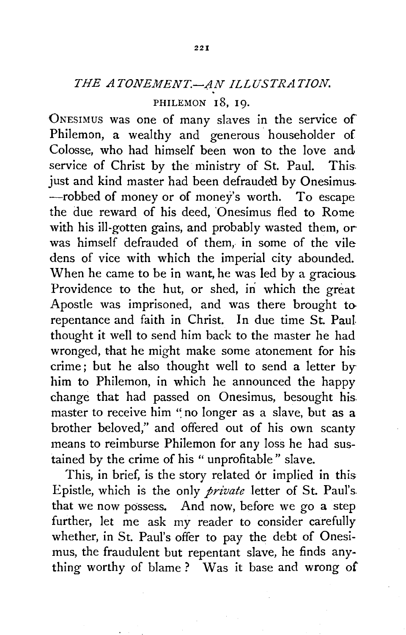## PHILEMON 18, 19.

0NESIMUS was one of many slaves in the service of Philemon, a wealthy and generous householder of Colosse, who had himself been won to the love and service of Christ by the ministry of St. Paul. This. just and kind master had been defrauded by Onesimus. -robbed of money or of money's worth. To escape the due reward of his deed, Onesimus fled to Rome with his ill-gotten gains, and probably wasted them, or was himself defrauded of them, in some of the vile dens of vice with which the imperial city abounded. When he came to be in want, he was led by a gracious. Providence to the hut, or shed, in which the great Apostle was imprisoned, and was there brought torepentance and faith in Christ. In due time St. Paul thought it well to send him back to the master he had wronged, that he might make some atonement for his crime; but he also thought well to send a letter by him to Philemon, in which he announced the happy change that had passed on Onesimus, besought his. master to receive him "no longer as a slave, but as a brother beloved," and offered out of his own scanty means to reimburse Philemon for any loss he had sustained by the crime of his " unprofitable" slave.

This, in brief, is the story related or implied in this Epistle, which is the only *private* letter of St. Paul's. that we now possess. And now, before we go a step further, let me ask my reader to consider carefully whether, in St. Paul's offer to pay the debt of Onesimus, the fraudulent but repentant slave, he finds anything worthy of blame ? Was it base and wrong of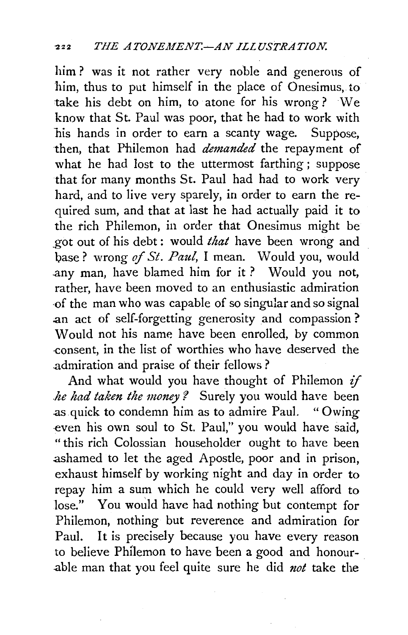him ? was it not rather very noble and generous of him, thus to put himself in the place of Onesimus, to take his debt on him, to atone for his wrong ? We know that St. Paul was poor, that he had to work with bis hands in order to earn a scanty wage. Suppose, then, that Philemon had *demanded* the repayment of what he had lost to the uttermost farthing; suppose that for many months St. Paul had had to work very hard, and to live very sparely, in order to earn the required sum, and that at last he had actually paid it to the rich Philemon, in order that Onesimus might be got out of his debt: would *that* have been wrong and base? wrong of *St. Paul,* I mean. Would you, would .any man, have blamed him for it? Would you not, rather, have been moved to an enthusiastic admiration of the man who was capable of so singular and so signal .an act of self-forgetting generosity and compassion? Would not his name have been enrolled, by common -consent, in the list of worthies who have deserved the .admiration and praise of their fellows ?

And what would you have thought of Philemon if *he had taken the money?* Surely you would have been as ouick to condemn him as to admire Paul. "Owing as quick to condemn him as to admire Paul. even his own soul to St. Paul," you would have said, "this rich Colossian householder ought to have been .ashamed to let the aged Apostle, poor and in prison, exhaust himself by working night and day in order to repay him a sum which he could very well afford to lose." You would have had nothing but contempt for Philemon, nothing but reverence and admiration for Paul. It is precisely because you have every reason to believe Philemon to have been a good and honour-.able man that you feel quite sure he did *not* take the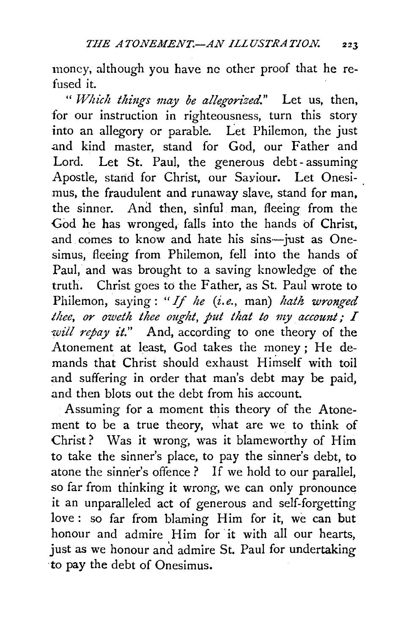money, although you have ne other proof that he refused it.

" Which things may be allegorized." Let us, then, for our instruction in righteousness, turn this story into an allegory or parable. Let Philemon, the just and kind master, stand for God, our Father and Lord. Let St. Paul, the generous debt- assuming Apostle, stand for Christ, our Saviour. Let Onesimus, the fraudulent and runaway slave, stand for man, the sinner. And then, sinful man, fleeing from the God he has wronged, falls into the hands of Christ, and comes to know and hate his sins--just as Onesimus, fleeing from Philemon, fell into the hands of Paul, and was brought to a saving knowledge of the truth. Christ goes to the Father, as St. Paul wrote to Philemon, saying: *"If he (i.e.,* man) *hath wronged*  thee, or oweth thee ought, put that to my account; I *will repay it."* And, according to one theory of the Atonement at least, God takes the money ; He demands that Christ should exhaust Himself with toil and suffering in order that man's debt may be paid, and then blots out the debt from his account.

Assuming for a moment this theory of the Atonement to be a true theory, what are we to think of Christ? Was it wrong, was it blameworthy of Him to take the sinner's place, to pay the sinner's debt, to atone the sinn'er's offence? If we hold to our parallel, so far from thinking it wrong, we can only pronounce it an unparalleled act of generous and self-forgetting love: so far from blaming Him for it, we can but honour and admire Him for it with all our hearts, just as we honour and admire St. Paul for undertaking to pay the debt of Onesimus.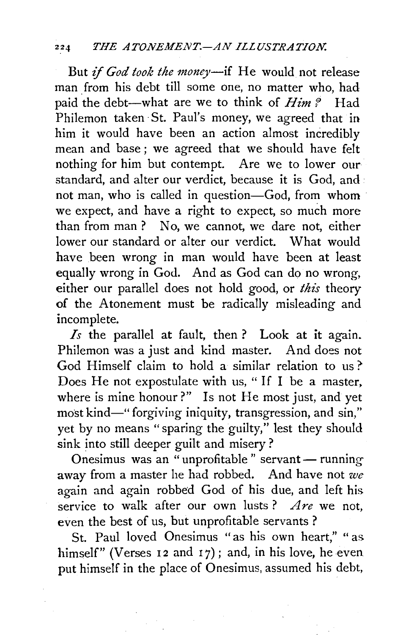But *if God took the money-if* He would not release man from his debt till some one, no matter who, had paid the debt--what are we to think of *Him?* Had Philemon taken St. Paul's money, we agreed that in him it would have been an action almost incredibly mean and base ; we agreed that we should have felt nothing for him but contempt. Are we to lower our standard, and alter our verdict, because it is God, and· not man, who is called in question-God, from whom we expect, and have a right to expect, so much more than from man ? No, we cannot, we dare not, either lower our standard or alter our verdict. What would have been wrong in man would have been at least equally wrong in God. And as God can do no wrong, either our parallel does not hold good, or *this* theory of the Atonement must be radically misleading and incomplete.

*Is* the parallel at fault, then ? Look at it again. Philemon was a just and kind master. And does not God Himself claim to hold a similar relation to us?' Does He not expostulate with us, " If I be a master, where is mine honour?" Is not He most just, and yet most kind—" forgiving iniquity, transgression, and sin," yet by no means "sparing the guilty," lest they should sink into still deeper guilt and misery ?

Onesimus was an "unprofitable" servant- running away from a master he had robbed. And have not *we*  again and again robbed God of his due, and left his service to walk after our own lusts? Are we not, even the best of us, but unprofitable servants ?

St. Paul loved Onesimus "as his own heart," " as himself" (Verses 12 and  $17$ ); and, in his love, he even put himself in the place of Onesimus, assumed his debt,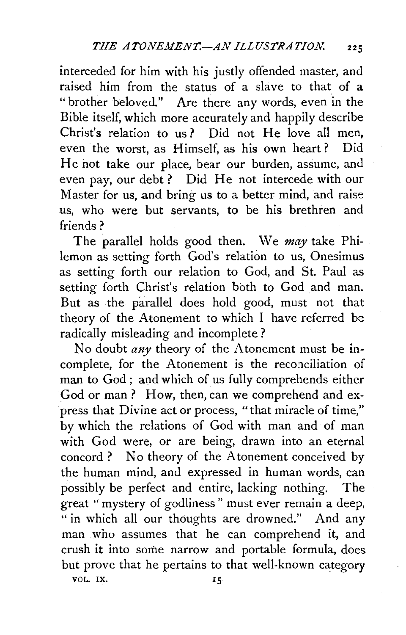interceded for him with his justly offended master, and raised him from the status of a slave to that of a "brother beloved." Are there any words, even in the Bible itself, which more accurately and happily describe Christ's relation to us? Did not He love all men, even the worst, as Himself, as his own heart ? Did He not take our place, bear our burden, assume, and even pay, our debt? Did He not intercede with our Master for us, and bring us to a better mind, and raise us, who were but servants, to be his brethren and friends?

The parallel holds good then. We *may* take Philemon as setting forth God's relation to us, Onesimus as setting forth our relation to God, and St. Paul as setting forth. Christ's relation both to God and man. But as the parallel does hold good, must not that theory of the Atonement to which I have referred be radically misleading and incomplete?

No doubt *any* theory of the Atonement must be incomplete, for the Atonement is the reconciliation of man to God; and which of us fully comprehends either God or man ? How, then, can we comprehend and express that Divine act or process, "that miracle of time," by which the relations of God with man and of man with God were, or are being, drawn into an eternal concord? No theory of the Atonement conceived by the human mind, and expressed in human words, can possibly be perfect and entire, lacking nothing. The great "mystery of godliness" must ever remain a deep, "in which all our thoughts are drowned." And any man who assumes that he can comprehend it, and crush it into some narrow and portable formula, does but prove that he pertains to that well-known category

VOL. IX.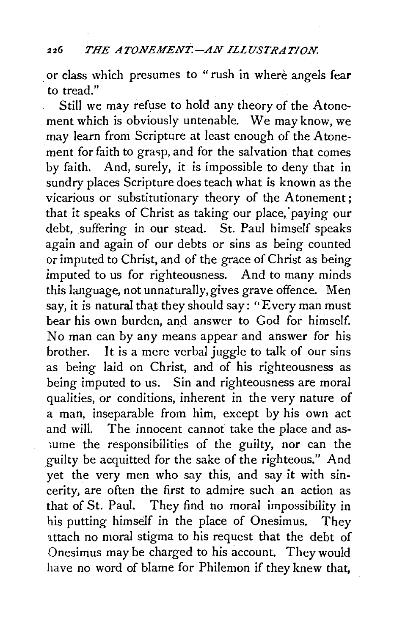or class which presumes to "rush in where angels fear to tread."

Still we may refuse to hold any theory of the Atonement which is obviously untenable. We may know, we may learn from Scripture at least enough of the Atonement for faith to grasp, and for the salvation that comes by faith. And, surely, it is impossible to deny that in sundry places Scripture does teach what is known as the vicarious or substitutionary theory of the Atonement; that it speaks of Christ as taking our place, 'paying our debt, suffering in our stead. St. Paul himself speaks again and again of our debts or sins as being counted or imputed to Christ, and of the grace of Christ as being imputed to us for righteousness. And to many minds this language, not unnaturally, gives grave offence. Men say, it is natural that they should say: "Every man must bear his own burden, and answer to God for himself. No man can by any means appear and answer for his brother. It is a mere verbal juggle to talk of our sins as being laid on Christ, and of his righteousness as being imputed to us. Sin and righteousness are moral qualities, or conditions, inherent in the very nature of a man, inseparable from him, except by his own act and will. The innocent cannot take the place and assume the responsibilities of the guilty, nor can the guilty be acquitted for the sake of the righteous." And yet the very men who say this, and say it with sincerity, are often the first *to* admire such an action as that of St. Paul. They find no moral impossibility in his putting himself in the place of Onesimus. They attach no moral stigma to his request that the debt of Onesimus may be charged to his account. They would have no word of blame for Philemon if they knew that,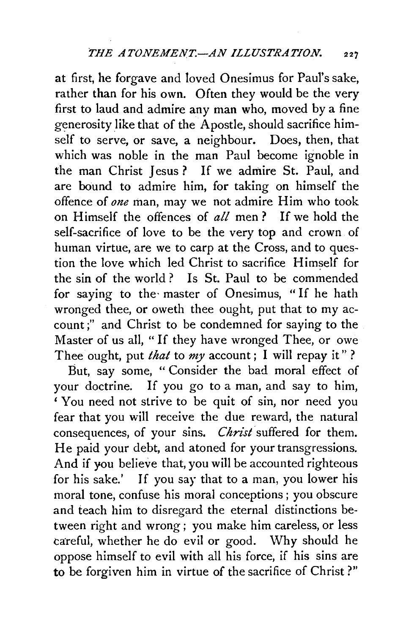at first, he forgave and loved Onesimus for Paul's sake, rather than for his own. Often they would be the very first to laud and admire any man who, moved by a fine generosity like that of the Apostle, should sacrifice himself to serve, or save, a neighbour. Does, then, that which was noble in the man Paul become ignoble in the man Christ Jesus ? If we admire St. Paul, and are bound to admire him, for taking on himself the offence of *one* man, may we not admire Him who took on Himself the offences of *all* men? If we hold the self-sacrifice of love to be the very top and crown of human virtue, are we to carp at the Cross, and to question the love which led Christ to sacrifice Himself for the sin of the world ? Is St. Paul to be commended for saying to the· master of Onesimus, "If he hath wronged thee, or oweth thee ought, put that to my account;" and Christ to be condemned for saying to the Master of us all, " If they have wronged Thee, or owe Thee ought, put *that* to *my* account; I will repay it"?

But, say some, " Consider the bad moral effect of your doctrine. If you go to a man, and say to him, ' You need not strive to be quit of sin, nor need you fear that you will receive the due reward, the natural consequences, of your sins. Christ suffered for them. He paid your debt, and atoned for your transgressions. And if you believe that, you will be accounted righteous for his sake.' If you say that to a man, you lower his moral tone, confuse his moral conceptions ; you obscure and teach him to disregard the eternal distinctions between right and wrong; you make him careless, or less careful, whether he do evil or good. Why should he oppose himself to evil with all his force, if his sins are to be forgiven him in virtue of the sacrifice of Christ ?"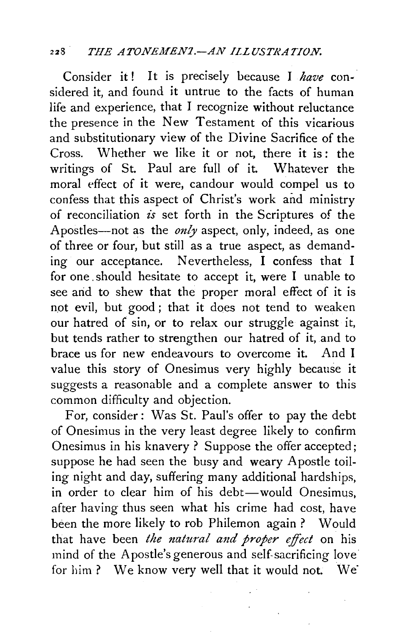## <sup>228</sup>*THE ATONEMENJ.-AN ILLUSTRA770N.*

Consider it! It is precisely because I have considered it, and found it untrue to the facts of human life and experience, that I recognize without reluctance the presence in the New Testament of this vicarious and substitutionary view of the Divine Sacrifice of the Cross. Whether we like it or not, there it is: the writings of St. Paul are full of it. Whatever the moral effect of it were, candour would compel us to confess that this aspect of Christ's work and ministry of reconciliation *is* set forth in the Scriptures of the Apostles-not as the *only* aspect, only, indeed, as one of three or four, but still as a true aspect, as demanding our acceptance. Nevertheless, I confess that I for one. should hesitate to accept it, were I unable to see and to shew that the proper moral effect of it is not evil, but good; that it does not tend to weaken our hatred of sin, or to relax our struggle against it, but tends rather to strengthen our hatred of it, and to brace us for new endeavours to overcome it. And I value this story of Onesimus very highly because it suggests a reasonable and a complete answer to this common difficulty and objection.

For, consider: Was St. Paul's offer to pay the debt of Onesimus in the very least degree likely to confirm Onesimus in his knavery ? Suppose the offer accepted; suppose he had seen the busy and weary Apostle toiling night and day, suffering many additional hardships, in order to clear him of his debt-would Onesimus, after having thus seen what his crime had cost, have been the more likely to rob Philemon again ? Would that have been *the natural and proper effect* on his mind of the Apostle's generous and self-sacrificing love for him? We know very well that it would not. We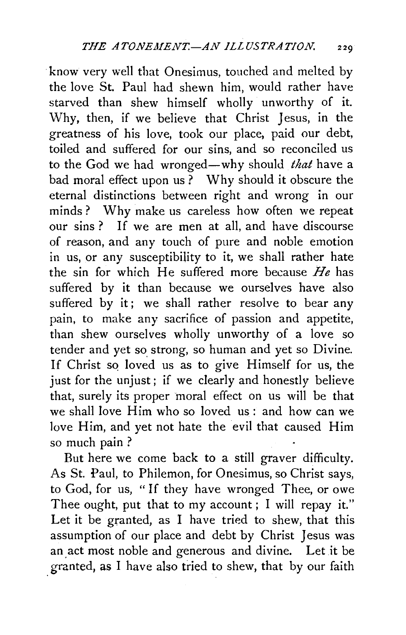know very well that Onesimus, touched and melted by the love St. Paul had shewn him, would rather have starved than shew himself wholly unworthy of it. Why, then, if we believe that Christ Jesus, in the greatness of his love, took our place, paid our debt, toiled and suffered for our sins, and so reconciled us to the God we had wronged-why should *that* have a bad moral effect upon us ? Why should it obscure the eternal distinctions between right and wrong in our minds ? Why make us careless how often we repeat our sins? If we are men at all, and have discourse of reason, and any touch of pure and noble emotion in us, or any susceptibility to it, we shall rather hate the sin for which He suffered more because *He* has suffered by it than because we ourselves have also suffered by it; we shall rather resolve to bear any pain, to make any sacrifice of passion and appetite, than shew ourselves wholly unworthy of a love so tender and yet so strong, so human and yet so Divine. If Christ *sq* loved us as to give Himself for us, the just for the unjust; if we clearly and honestly believe that, surely its proper moral effect on us will be that we shall love Him who so loved us : and how can we love Him, and yet not hate the evil that caused Him so much pain ?

But here we come back to a still graver difficulty. As St. Paul, to Philemon, for Onesimus, so Christ says, to God, for us, "If they have wronged Thee, or owe Thee ought, put that to my account; I will repay it." Let it be granted, as I have tried to shew, that this assumption of our place and debt by Christ Jesus was an.act most noble and generous and divine. Let it be granted, as I have also tried to shew, that by our faith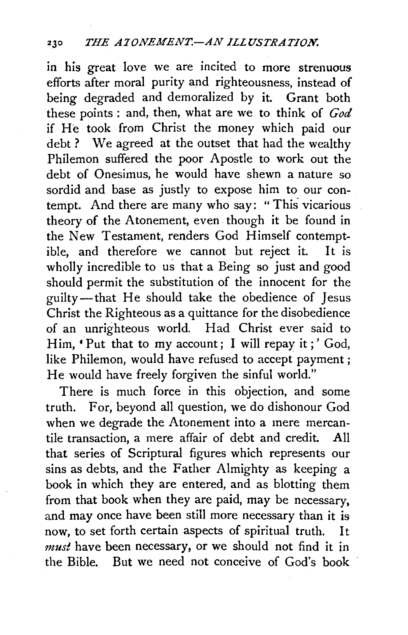in his great love we are incited to more strenuous efforts after moral purity and righteousness, instead of being degraded and demoralized by it. Grant both these points : and, then, what are we to think of *God*  if He took from Christ the money which paid our debt ? We agreed at the outset that had the wealthy Philemon suffered the poor Apostle to work out the debt of Onesimus, he would have shewn a nature so sordid and base as justly to expose him to our contempt. And there are many who say: " This vicarious theory of the Atonement, even. though it be found in the New Testament, renders God Himself contemptible, and therefore we cannot but reject it. It is wholly incredible to us that a Being so just and good should permit the substitution of the innocent for the guilty-that He should take the obedience of Jesus Christ the Righteous as a quittance for the disobedience of an unrighteous world. Had Christ ever said to Him, 'Put that to my account; I will repay it;' God, like Philemon, would have refused to accept payment ; He would have freely forgiven the sinful world."

There is much force in this objection, and some truth. For, beyond all question, we do dishonour God when we degrade the Atonement into a mere mercantile transaction, a mere affair of debt and credit. All that series of Scriptural figures which represents our sins as debts, and the Father Almighty as keeping a book in which they are entered, and as blotting them from that book when they are paid, may be necessary, and may once have been still more necessary than it is now, to set forth certain aspects of spiritual truth. It *must* have been necessary, or we should not find it in the Bible. But we need not conceive of God's book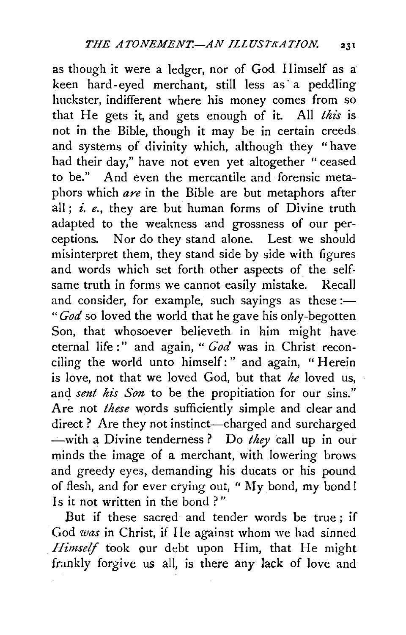as though it were a ledger, nor of God Himself as a keen hard-eyed merchant, still less as· a peddling huckster, indifferent where his money comes from so that He gets it, and gets enough of it. All *this* is not in the Bible, though it may be in certain creeds and systems of divinity which, although they "have had their day," have not even yet altogether "ceased to be." And even the mercantile and forensic metaphors which *are* in the Bible are but metaphors after all;  $i. e.,$  they are but human forms of Divine truth adapted to the weakness and grossness of our perceptions. Nor do they stand alone. Lest we should misinterpret them, they stand side by side with figures and words which set forth other aspects of the selfsame truth in forms we cannot easily mistake. Recall and consider, for example, such sayings as these :-*"God* so loved the world that he gave his only-begotten Son, that whosoever believeth in him might have eternal life :" and again, " *God* was in Christ reconciling the world unto himself:" and again, "Herein is love, not that we loved God, but that *he* loved us, and *sent his Son* to be the propitiation for our sins." Are not *these* words sufficiently simple and clear and direct ? Are they not instinct---charged and surcharged -· with a Divine tenderness ? Do *they* call up in our minds the image of a merchant, with lowering brows and greedy eyes, demanding his ducats or his pound of flesh, and for ever crying out, " My bond, my bond! Is it not written in the bond ? "

But if these sacred and tender words be true ; if God *was* in Christ, if He against whom we had sinned *Himself* fook our debt upon Him, that He might frankly forgive us all, is there any lack of love and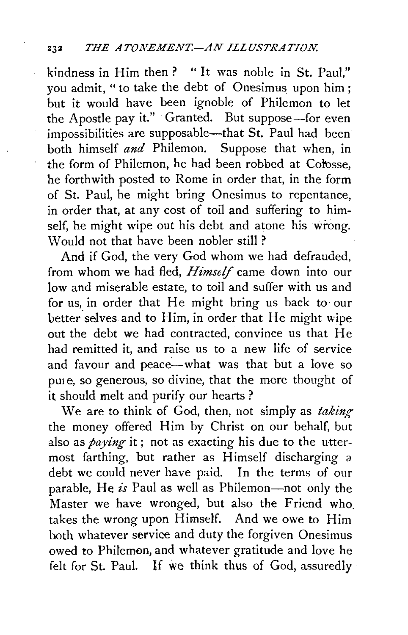kindness in Him then ? " It was noble in St. Paul," you admit, " to take the debt of Onesimus upon him ; but it would have been ignoble of Philemon to let the Apostle pay it." Granted. But suppose—for even impossibilities are supposable—that St. Paul had been both himself *and* Philemon. Suppose that when, in the form of Philemon, he had been robbed at Colosse, he forthwith posted to Rome in order that, in the form of St. Paul, he might bring Onesimus to repentance, in order that, at any cost of toil and suffering to himself, he might wipe out his debt and atone his wrong. \Vould not that have been nobler still ?

And if God, the very God whom we had defrauded, from whom we had fled, *Himself* came down into our low and miserable estate, to toil and suffer with us and for us, in order that He might bring us back to our better selves and to Him, in order that He might wipe out the debt we had contracted, convince us that He had remitted it, and raise us to a new life of service and favour and peace—what was that but a love so pure, so generous, so divine, that the mere thought of it should melt and purify our hearts ?

We are to think of God, then, not simply as *taking*  the money offered Him by Christ on our behalf, but also as *paying* it ; not as exacting his due to the uttermost farthing, but rather as Himself discharging *a*  debt we could never have paid. In the terms of our parable, He *is* Paul as well as Philemon-not only the Master we have wronged, but also the Friend who. takes the wrong upon Himself. And we owe to Him both whatever service and duty the forgiven Onesimus owed to Philemon, and whatever gratitude and love he felt for St. Paul. If we think thus of God, assuredly